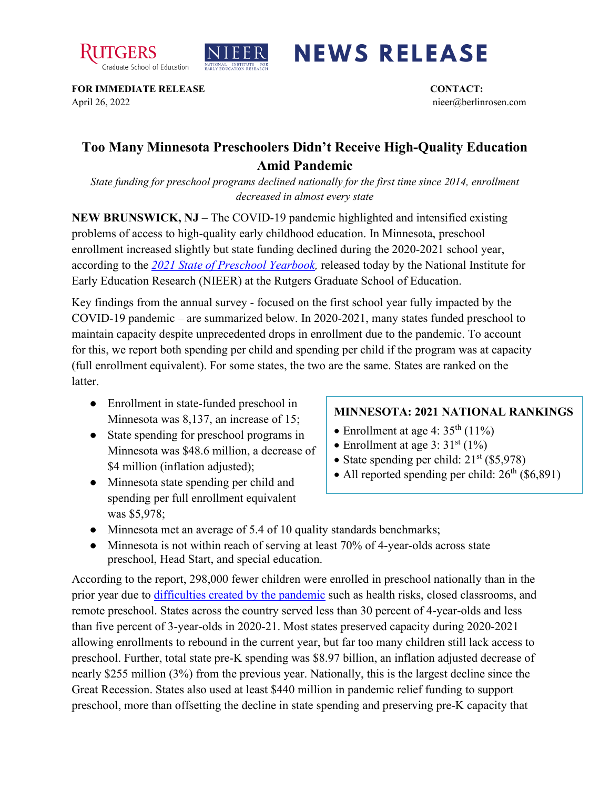



## **NEWS RELEASE**

**FOR IMMEDIATE RELEASE CONTACT:**  April 26, 2022 nieer@berlinrosen.com

## **Too Many Minnesota Preschoolers Didn't Receive High-Quality Education Amid Pandemic**

*State funding for preschool programs declined nationally for the first time since 2014, enrollment decreased in almost every state*

**NEW BRUNSWICK, NJ** – The COVID-19 pandemic highlighted and intensified existing problems of access to high-quality early childhood education. In Minnesota, preschool enrollment increased slightly but state funding declined during the 2020-2021 school year, according to the *[2021 State of Preschool Yearbook,](https://nieer.org/state-preschool-yearbooks-yearbook2021)* released today by the National Institute for Early Education Research (NIEER) at the Rutgers Graduate School of Education.

Key findings from the annual survey - focused on the first school year fully impacted by the COVID-19 pandemic – are summarized below. In 2020-2021, many states funded preschool to maintain capacity despite unprecedented drops in enrollment due to the pandemic. To account for this, we report both spending per child and spending per child if the program was at capacity (full enrollment equivalent). For some states, the two are the same. States are ranked on the **latter** 

- Enrollment in state-funded preschool in Minnesota was 8,137, an increase of 15;
- State spending for preschool programs in Minnesota was \$48.6 million, a decrease of \$4 million (inflation adjusted);
- Minnesota state spending per child and spending per full enrollment equivalent

## **MINNESOTA: 2021 NATIONAL RANKINGS**

- Enrollment at age 4:  $35<sup>th</sup>$  (11%)
- Enrollment at age  $3:31<sup>st</sup> (1%)$
- State spending per child:  $21<sup>st</sup>$  (\$5,978)
- All reported spending per child:  $26<sup>th</sup>$  (\$6,891)
- was \$5,978;
- Minnesota met an average of 5.4 of 10 quality standards benchmarks;
- Minnesota is not within reach of serving at least 70% of 4-year-olds across state preschool, Head Start, and special education.

According to the report, 298,000 fewer children were enrolled in preschool nationally than in the prior year due to [difficulties created by the pandemic](https://nieer.org/wp-content/uploads/2021/02/NIEER_Seven_Impacts_of_the_Pandemic_on_Young_Children_and_their_Parents.pdf) such as health risks, closed classrooms, and remote preschool. States across the country served less than 30 percent of 4-year-olds and less than five percent of 3-year-olds in 2020-21. Most states preserved capacity during 2020-2021 allowing enrollments to rebound in the current year, but far too many children still lack access to preschool. Further, total state pre-K spending was \$8.97 billion, an inflation adjusted decrease of nearly \$255 million (3%) from the previous year. Nationally, this is the largest decline since the Great Recession. States also used at least \$440 million in pandemic relief funding to support preschool, more than offsetting the decline in state spending and preserving pre-K capacity that